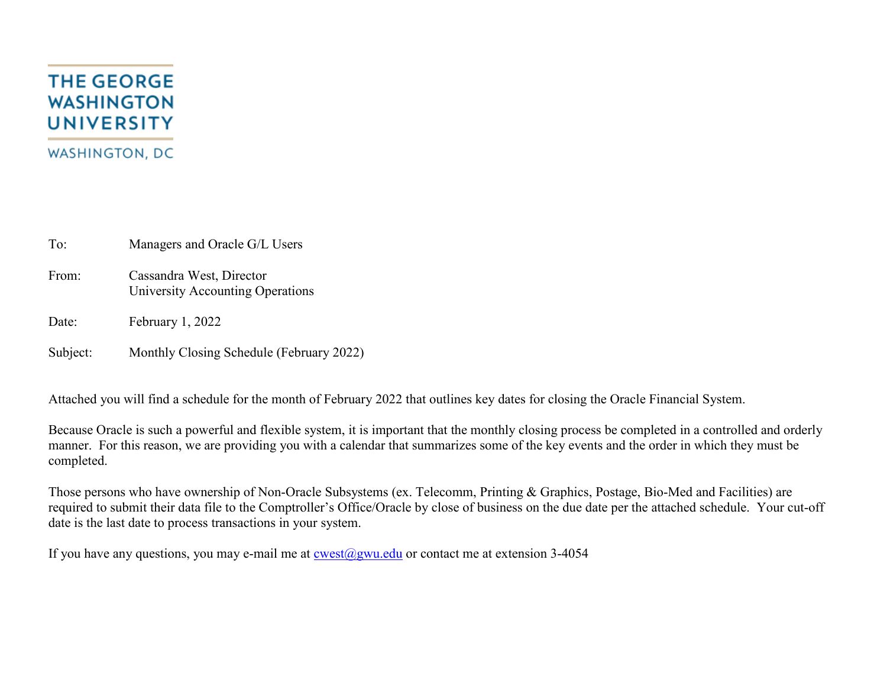## **THE GEORGE WASHINGTON UNIVERSITY WASHINGTON, DC**

To: Managers and Oracle G/L Users

From: Cassandra West, Director University Accounting Operations

Date: February 1, 2022

Subject: Monthly Closing Schedule (February 2022)

Attached you will find a schedule for the month of February 2022 that outlines key dates for closing the Oracle Financial System.

Because Oracle is such a powerful and flexible system, it is important that the monthly closing process be completed in a controlled and orderly manner. For this reason, we are providing you with a calendar that summarizes some of the key events and the order in which they must be completed.

Those persons who have ownership of Non-Oracle Subsystems (ex. Telecomm, Printing & Graphics, Postage, Bio-Med and Facilities) are required to submit their data file to the Comptroller's Office/Oracle by close of business on the due date per the attached schedule. Your cut-off date is the last date to process transactions in your system.

If you have any questions, you may e-mail me at  $\cos(\omega)$ gwu.edu or contact me at extension 3-4054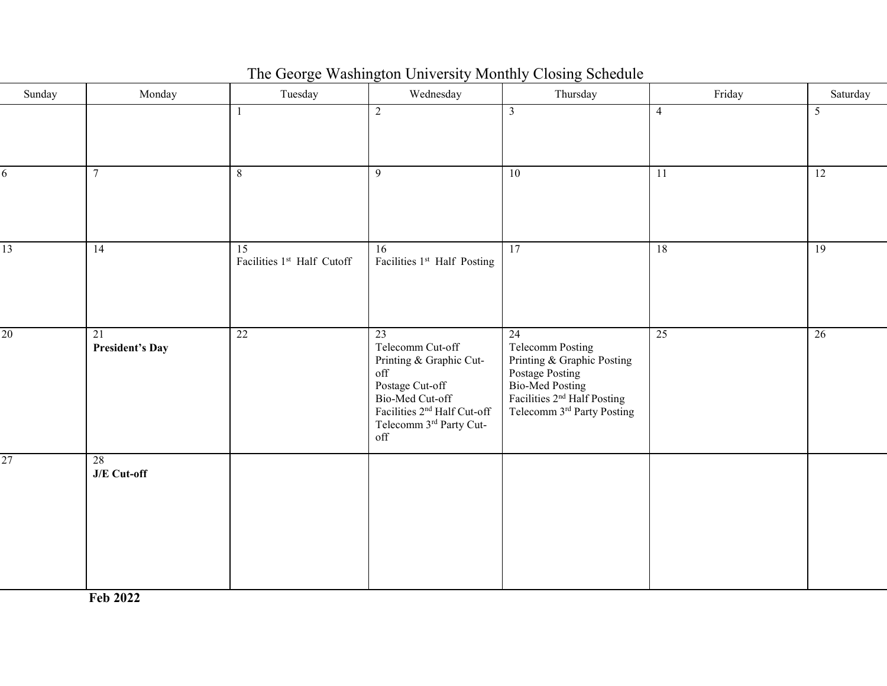| The George Washington University Monthly Closing Schedule |  |  |
|-----------------------------------------------------------|--|--|
|                                                           |  |  |

| Sunday | Monday                       | Tuesday                          | Wednesday                                                                                                                                                                                 | Thursday                                                                                                                                                         | Friday         | Saturday |
|--------|------------------------------|----------------------------------|-------------------------------------------------------------------------------------------------------------------------------------------------------------------------------------------|------------------------------------------------------------------------------------------------------------------------------------------------------------------|----------------|----------|
|        |                              |                                  | 2                                                                                                                                                                                         | $\mathfrak{Z}$                                                                                                                                                   | $\overline{4}$ | 5        |
| 6      | $7\overline{ }$              | 8                                | $\overline{9}$                                                                                                                                                                            | $\overline{10}$                                                                                                                                                  | 11             | 12       |
| 13     | 14                           | 15<br>Facilities 1st Half Cutoff | 16<br>Facilities 1st Half Posting                                                                                                                                                         | $\overline{17}$                                                                                                                                                  | 18             | 19       |
| 20     | 21<br><b>President's Day</b> | 22                               | 23<br>Telecomm Cut-off<br>Printing & Graphic Cut-<br>$_{\mathrm{off}}$<br>Postage Cut-off<br>Bio-Med Cut-off<br>Facilities 2 <sup>nd</sup> Half Cut-off<br>Telecomm 3rd Party Cut-<br>off | 24<br><b>Telecomm Posting</b><br>Printing & Graphic Posting<br>Postage Posting<br>Bio-Med Posting<br>Facilities $2nd$ Half Posting<br>Telecomm 3rd Party Posting | 25             | 26       |
| 27     | 28<br>J/E Cut-off            |                                  |                                                                                                                                                                                           |                                                                                                                                                                  |                |          |

**Feb 2022**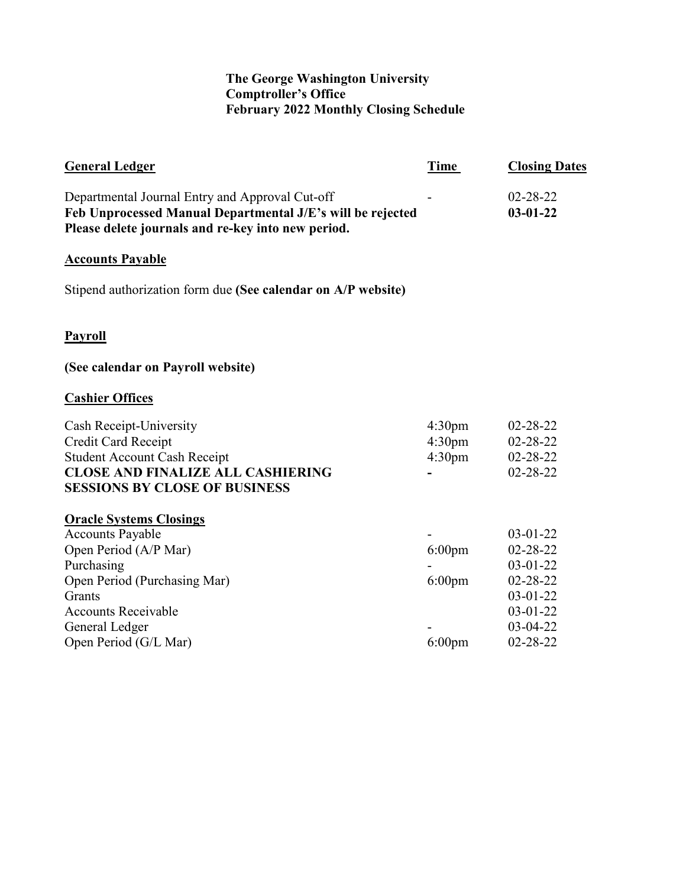## **The George Washington University Comptroller's Office February 2022 Monthly Closing Schedule**

| Time                                                           | <b>Closing Dates</b>                                                                                                               |
|----------------------------------------------------------------|------------------------------------------------------------------------------------------------------------------------------------|
| Feb Unprocessed Manual Departmental J/E's will be rejected     | $02 - 28 - 22$<br>$03 - 01 - 22$                                                                                                   |
|                                                                |                                                                                                                                    |
| Stipend authorization form due (See calendar on A/P website)   |                                                                                                                                    |
|                                                                |                                                                                                                                    |
|                                                                |                                                                                                                                    |
|                                                                |                                                                                                                                    |
| 4:30 <sub>pm</sub><br>4:30 <sub>pm</sub><br>4:30 <sub>pm</sub> | $02 - 28 - 22$<br>$02 - 28 - 22$<br>$02 - 28 - 22$<br>02-28-22                                                                     |
| $6:00$ pm<br>$6:00$ pm<br>$6:00$ pm                            | $03 - 01 - 22$<br>$02 - 28 - 22$<br>$03 - 01 - 22$<br>$02 - 28 - 22$<br>$03 - 01 - 22$<br>$03 - 01 - 22$<br>$03-04-22$<br>02-28-22 |
|                                                                |                                                                                                                                    |